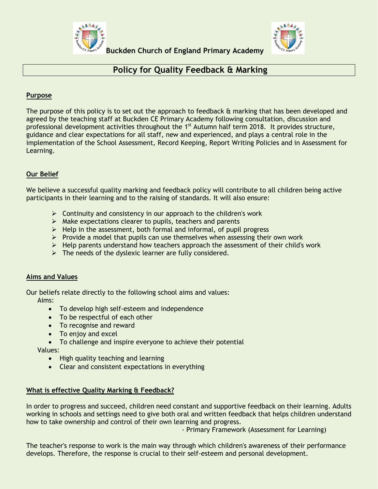



# **Policy for Quality Feedback & Marking**

### **Purpose**

The purpose of this policy is to set out the approach to feedback & marking that has been developed and agreed by the teaching staff at Buckden CE Primary Academy following consultation, discussion and professional development activities throughout the 1<sup>st</sup> Autumn half term 2018. It provides structure, guidance and clear expectations for all staff, new and experienced, and plays a central role in the implementation of the School Assessment, Record Keeping, Report Writing Policies and in Assessment for Learning.

### **Our Belief**

We believe a successful quality marking and feedback policy will contribute to all children being active participants in their learning and to the raising of standards. It will also ensure:

- $\triangleright$  Continuity and consistency in our approach to the children's work
- $\triangleright$  Make expectations clearer to pupils, teachers and parents
- $\triangleright$  Help in the assessment, both formal and informal, of pupil progress
- $\triangleright$  Provide a model that pupils can use themselves when assessing their own work
- $\triangleright$  Help parents understand how teachers approach the assessment of their child's work
- $\triangleright$  The needs of the dyslexic learner are fully considered.

#### **Aims and Values**

Our beliefs relate directly to the following school aims and values: Aims:

- To develop high self-esteem and independence
- To be respectful of each other
- To recognise and reward
- To enjoy and excel
- To challenge and inspire everyone to achieve their potential

Values:

- High quality teaching and learning
- Clear and consistent expectations in everything

#### **What is effective Quality Marking & Feedback?**

In order to progress and succeed, children need constant and supportive feedback on their learning. Adults working in schools and settings need to give both oral and written feedback that helps children understand how to take ownership and control of their own learning and progress.

- Primary Framework (Assessment for Learning)

The teacher's response to work is the main way through which children's awareness of their performance develops. Therefore, the response is crucial to their self-esteem and personal development.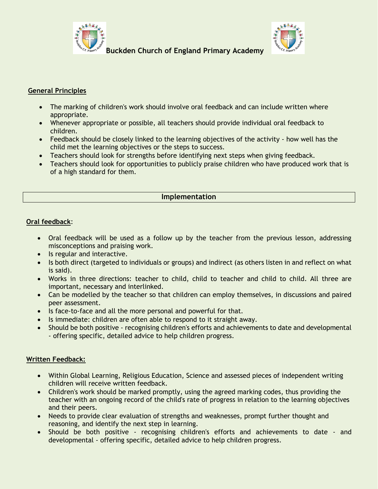



## **General Principles**

- The marking of children's work should involve oral feedback and can include written where appropriate.
- Whenever appropriate or possible, all teachers should provide individual oral feedback to children.
- Feedback should be closely linked to the learning objectives of the activity how well has the child met the learning objectives or the steps to success.
- Teachers should look for strengths before identifying next steps when giving feedback.
- Teachers should look for opportunities to publicly praise children who have produced work that is of a high standard for them.

### **Implementation**

### **Oral feedback**:

- Oral feedback will be used as a follow up by the teacher from the previous lesson, addressing misconceptions and praising work.
- Is regular and interactive.
- Is both direct (targeted to individuals or groups) and indirect (as others listen in and reflect on what is said).
- Works in three directions: teacher to child, child to teacher and child to child. All three are important, necessary and interlinked.
- Can be modelled by the teacher so that children can employ themselves, in discussions and paired peer assessment.
- Is face-to-face and all the more personal and powerful for that.
- Is immediate: children are often able to respond to it straight away.
- Should be both positive recognising children's efforts and achievements to date and developmental - offering specific, detailed advice to help children progress.

#### **Written Feedback:**

- Within Global Learning, Religious Education, Science and assessed pieces of independent writing children will receive written feedback.
- Children's work should be marked promptly, using the agreed marking codes, thus providing the teacher with an ongoing record of the child's rate of progress in relation to the learning objectives and their peers.
- Needs to provide clear evaluation of strengths and weaknesses, prompt further thought and reasoning, and identify the next step in learning.
- Should be both positive recognising children's efforts and achievements to date and developmental - offering specific, detailed advice to help children progress.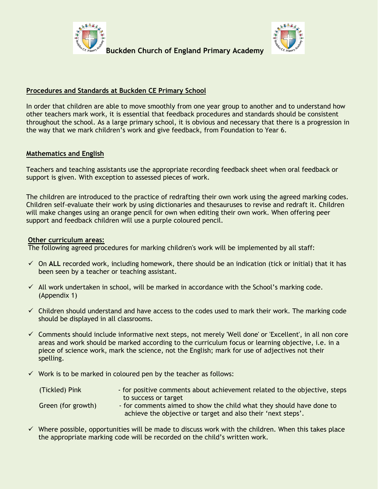



### **Procedures and Standards at Buckden CE Primary School**

In order that children are able to move smoothly from one year group to another and to understand how other teachers mark work, it is essential that feedback procedures and standards should be consistent throughout the school. As a large primary school, it is obvious and necessary that there is a progression in the way that we mark children's work and give feedback, from Foundation to Year 6.

### **Mathematics and English**

Teachers and teaching assistants use the appropriate recording feedback sheet when oral feedback or support is given. With exception to assessed pieces of work.

The children are introduced to the practice of redrafting their own work using the agreed marking codes. Children self-evaluate their work by using dictionaries and thesauruses to revise and redraft it. Children will make changes using an orange pencil for own when editing their own work. When offering peer support and feedback children will use a purple coloured pencil.

#### **Other curriculum areas:**

The following agreed procedures for marking children's work will be implemented by all staff:

- On **ALL** recorded work, including homework, there should be an indication (tick or initial) that it has been seen by a teacher or teaching assistant.
- $\checkmark$  All work undertaken in school, will be marked in accordance with the School's marking code. (Appendix 1)
- $\checkmark$  Children should understand and have access to the codes used to mark their work. The marking code should be displayed in all classrooms.
- $\checkmark$  Comments should include informative next steps, not merely 'Well done' or 'Excellent', in all non core areas and work should be marked according to the curriculum focus or learning objective, i.e. in a piece of science work, mark the science, not the English; mark for use of adjectives not their spelling.
- $\checkmark$  Work is to be marked in coloured pen by the teacher as follows:

| (Tickled) Pink     | - for positive comments about achievement related to the objective, steps |
|--------------------|---------------------------------------------------------------------------|
|                    | to success or target                                                      |
| Green (for growth) | - for comments aimed to show the child what they should have done to      |
|                    | achieve the objective or target and also their 'next steps'.              |

 $\checkmark$  Where possible, opportunities will be made to discuss work with the children. When this takes place the appropriate marking code will be recorded on the child's written work.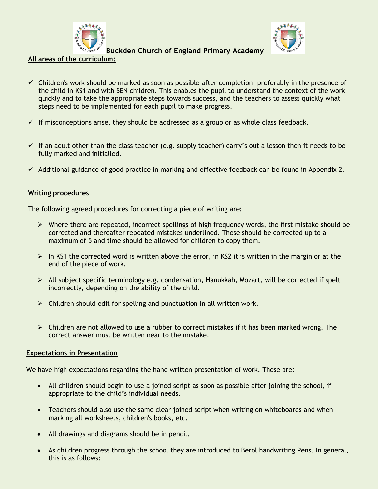

**All areas of the curriculum:**



**Buckden Church of England Primary Academy** 

- $\checkmark$  Children's work should be marked as soon as possible after completion, preferably in the presence of the child in KS1 and with SEN children. This enables the pupil to understand the context of the work quickly and to take the appropriate steps towards success, and the teachers to assess quickly what steps need to be implemented for each pupil to make progress.
- $\checkmark$  If misconceptions arise, they should be addressed as a group or as whole class feedback.
- $\checkmark$  If an adult other than the class teacher (e.g. supply teacher) carry's out a lesson then it needs to be fully marked and initialled.
- $\checkmark$  Additional guidance of good practice in marking and effective feedback can be found in Appendix 2.

# **Writing procedures**

The following agreed procedures for correcting a piece of writing are:

- $\triangleright$  Where there are repeated, incorrect spellings of high frequency words, the first mistake should be corrected and thereafter repeated mistakes underlined. These should be corrected up to a maximum of 5 and time should be allowed for children to copy them.
- $\triangleright$  In KS1 the corrected word is written above the error, in KS2 it is written in the margin or at the end of the piece of work.
- $\triangleright$  All subject specific terminology e.g. condensation, Hanukkah, Mozart, will be corrected if spelt incorrectly, depending on the ability of the child.
- $\triangleright$  Children should edit for spelling and punctuation in all written work.
- $\triangleright$  Children are not allowed to use a rubber to correct mistakes if it has been marked wrong. The correct answer must be written near to the mistake.

# **Expectations in Presentation**

We have high expectations regarding the hand written presentation of work. These are:

- All children should begin to use a joined script as soon as possible after joining the school, if appropriate to the child's individual needs.
- Teachers should also use the same clear joined script when writing on whiteboards and when marking all worksheets, children's books, etc.
- All drawings and diagrams should be in pencil.
- As children progress through the school they are introduced to Berol handwriting Pens. In general, this is as follows: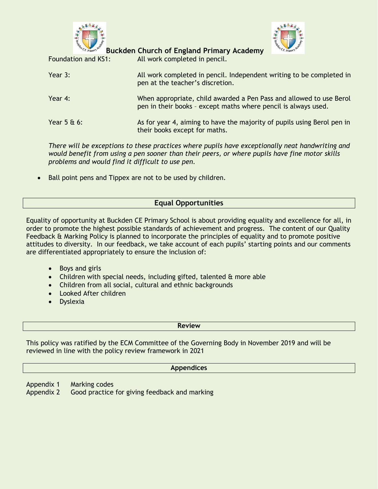



Foundation and KS1: All work completed in pencil. Year 3: All work completed in pencil. Independent writing to be completed in pen at the teacher's discretion. Year 4: When appropriate, child awarded a Pen Pass and allowed to use Berol pen in their books – except maths where pencil is always used. Year 5 & 6: As for year 4, aiming to have the majority of pupils using Berol pen in their books except for maths.

*There will be exceptions to these practices where pupils have exceptionally neat handwriting and would benefit from using a pen sooner than their peers, or where pupils have fine motor skills problems and would find it difficult to use pen.*

Ball point pens and Tippex are not to be used by children.

# **Equal Opportunities**

Equality of opportunity at Buckden CE Primary School is about providing equality and excellence for all, in order to promote the highest possible standards of achievement and progress. The content of our Quality Feedback & Marking Policy is planned to incorporate the principles of equality and to promote positive attitudes to diversity. In our feedback, we take account of each pupils' starting points and our comments are differentiated appropriately to ensure the inclusion of:

- Boys and girls
- Children with special needs, including gifted, talented & more able
- Children from all social, cultural and ethnic backgrounds
- Looked After children
- Dyslexia

**Review**

This policy was ratified by the ECM Committee of the Governing Body in November 2019 and will be reviewed in line with the policy review framework in 2021

#### **Appendices**

- Appendix 1 Marking codes
- Appendix 2 Good practice for giving feedback and marking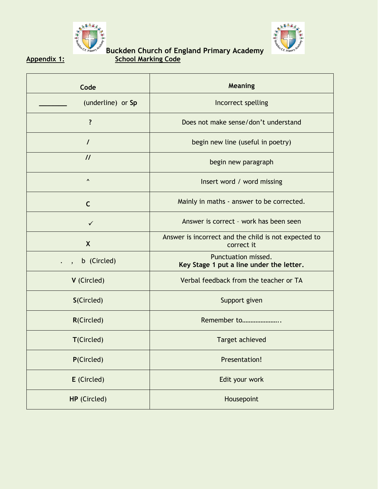



# **Buckden Church of England Primary Academy Appendix 1: School Marking Code**

| Code                     | Meaning                                                            |
|--------------------------|--------------------------------------------------------------------|
| (underline) or Sp        | Incorrect spelling                                                 |
| ?                        | Does not make sense/don't understand                               |
| $\prime$                 | begin new line (useful in poetry)                                  |
| $\mathcal{U}$            | begin new paragraph                                                |
| $\boldsymbol{\wedge}$    | Insert word / word missing                                         |
| $\mathsf{C}$             | Mainly in maths - answer to be corrected.                          |
| $\checkmark$             | Answer is correct - work has been seen                             |
| $\mathsf{X}$             | Answer is incorrect and the child is not expected to<br>correct it |
| b (Circled)<br>$\cdot$ , | Punctuation missed.<br>Key Stage 1 put a line under the letter.    |
| V (Circled)              | Verbal feedback from the teacher or TA                             |
| S(Circled)               | Support given                                                      |
| <b>R(Circled)</b>        | Remember to                                                        |
| T(Circled)               | <b>Target achieved</b>                                             |
| P(Circled)               | Presentation!                                                      |
| E (Circled)              | Edit your work                                                     |
| HP (Circled)             | Housepoint                                                         |